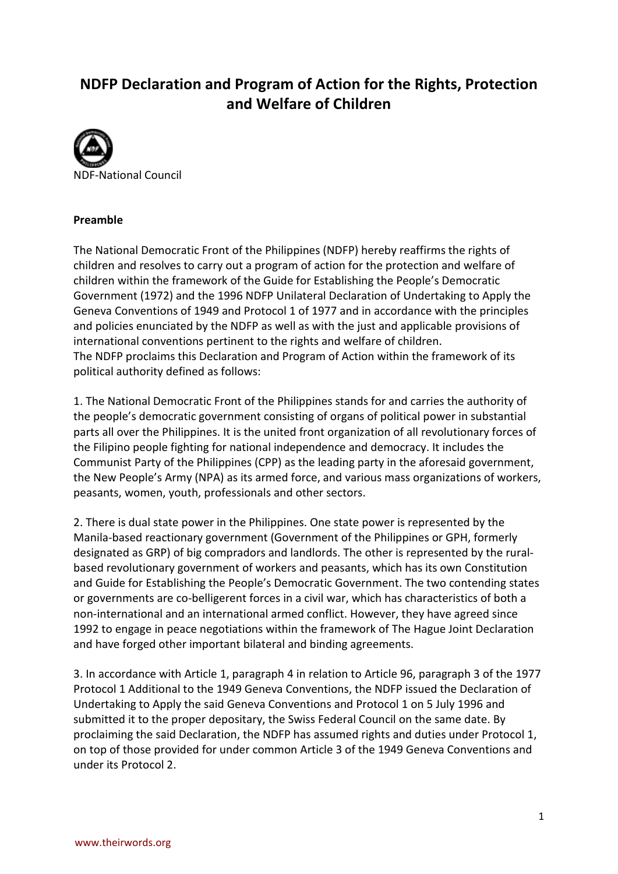# **NDFP Declaration and Program of Action for the Rights, Protection and Welfare of Children**



#### **Preamble**

The National Democratic Front of the Philippines (NDFP) hereby reaffirms the rights of children and resolves to carry out a program of action for the protection and welfare of children within the framework of the Guide for Establishing the People's Democratic Government (1972) and the 1996 NDFP Unilateral Declaration of Undertaking to Apply the Geneva Conventions of 1949 and Protocol 1 of 1977 and in accordance with the principles and policies enunciated by the NDFP as well as with the just and applicable provisions of international conventions pertinent to the rights and welfare of children. The NDFP proclaims this Declaration and Program of Action within the framework of its political authority defined as follows:

1. The National Democratic Front of the Philippines stands for and carries the authority of the people's democratic government consisting of organs of political power in substantial parts all over the Philippines. It is the united front organization of all revolutionary forces of the Filipino people fighting for national independence and democracy. It includes the Communist Party of the Philippines (CPP) as the leading party in the aforesaid government, the New People's Army (NPA) as its armed force, and various mass organizations of workers, peasants, women, youth, professionals and other sectors.

2. There is dual state power in the Philippines. One state power is represented by the Manila-based reactionary government (Government of the Philippines or GPH, formerly designated as GRP) of big compradors and landlords. The other is represented by the ruralbased revolutionary government of workers and peasants, which has its own Constitution and Guide for Establishing the People's Democratic Government. The two contending states or governments are co-belligerent forces in a civil war, which has characteristics of both a non-international and an international armed conflict. However, they have agreed since 1992 to engage in peace negotiations within the framework of The Hague Joint Declaration and have forged other important bilateral and binding agreements.

3. In accordance with Article 1, paragraph 4 in relation to Article 96, paragraph 3 of the 1977 Protocol 1 Additional to the 1949 Geneva Conventions, the NDFP issued the Declaration of Undertaking to Apply the said Geneva Conventions and Protocol 1 on 5 July 1996 and submitted it to the proper depositary, the Swiss Federal Council on the same date. By proclaiming the said Declaration, the NDFP has assumed rights and duties under Protocol 1, on top of those provided for under common Article 3 of the 1949 Geneva Conventions and under its Protocol 2.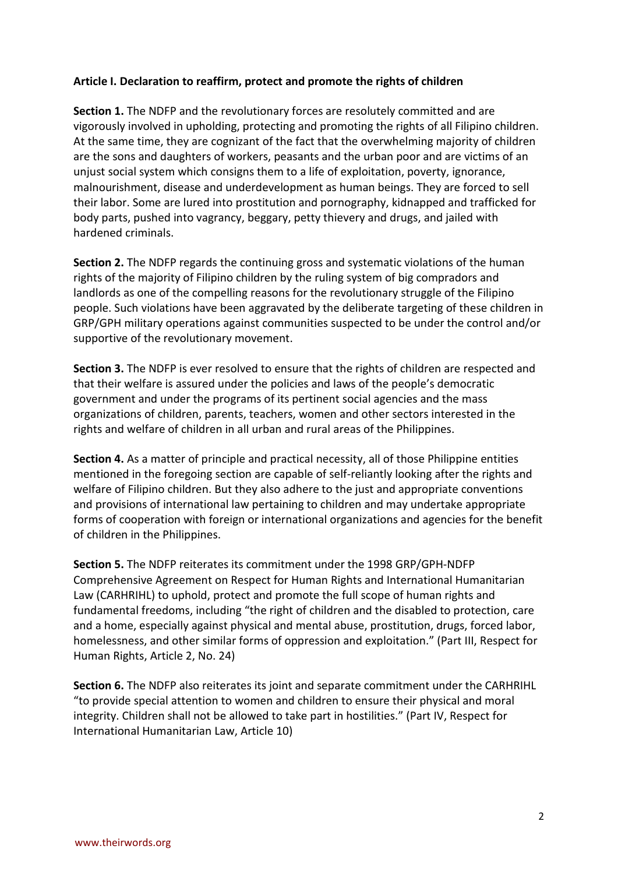### **Article I. Declaration to reaffirm, protect and promote the rights of children**

**Section 1.** The NDFP and the revolutionary forces are resolutely committed and are vigorously involved in upholding, protecting and promoting the rights of all Filipino children. At the same time, they are cognizant of the fact that the overwhelming majority of children are the sons and daughters of workers, peasants and the urban poor and are victims of an unjust social system which consigns them to a life of exploitation, poverty, ignorance, malnourishment, disease and underdevelopment as human beings. They are forced to sell their labor. Some are lured into prostitution and pornography, kidnapped and trafficked for body parts, pushed into vagrancy, beggary, petty thievery and drugs, and jailed with hardened criminals.

**Section 2.** The NDFP regards the continuing gross and systematic violations of the human rights of the majority of Filipino children by the ruling system of big compradors and landlords as one of the compelling reasons for the revolutionary struggle of the Filipino people. Such violations have been aggravated by the deliberate targeting of these children in GRP/GPH military operations against communities suspected to be under the control and/or supportive of the revolutionary movement.

**Section 3.** The NDFP is ever resolved to ensure that the rights of children are respected and that their welfare is assured under the policies and laws of the people's democratic government and under the programs of its pertinent social agencies and the mass organizations of children, parents, teachers, women and other sectors interested in the rights and welfare of children in all urban and rural areas of the Philippines.

**Section 4.** As a matter of principle and practical necessity, all of those Philippine entities mentioned in the foregoing section are capable of self-reliantly looking after the rights and welfare of Filipino children. But they also adhere to the just and appropriate conventions and provisions of international law pertaining to children and may undertake appropriate forms of cooperation with foreign or international organizations and agencies for the benefit of children in the Philippines.

**Section 5.** The NDFP reiterates its commitment under the 1998 GRP/GPH-NDFP Comprehensive Agreement on Respect for Human Rights and International Humanitarian Law (CARHRIHL) to uphold, protect and promote the full scope of human rights and fundamental freedoms, including "the right of children and the disabled to protection, care and a home, especially against physical and mental abuse, prostitution, drugs, forced labor, homelessness, and other similar forms of oppression and exploitation." (Part III, Respect for Human Rights, Article 2, No. 24)

**Section 6.** The NDFP also reiterates its joint and separate commitment under the CARHRIHL "to provide special attention to women and children to ensure their physical and moral integrity. Children shall not be allowed to take part in hostilities." (Part IV, Respect for International Humanitarian Law, Article 10)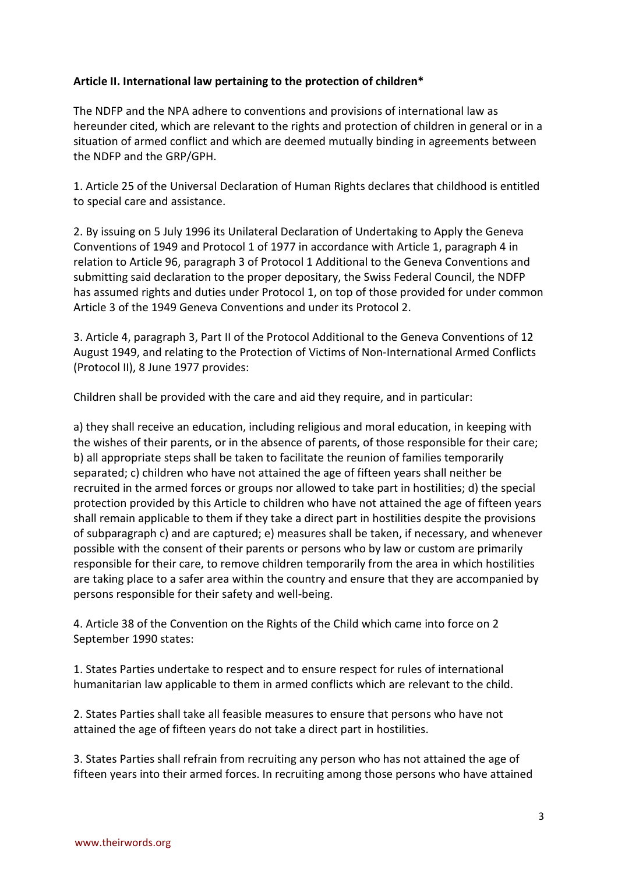## **Article II. International law pertaining to the protection of children\***

The NDFP and the NPA adhere to conventions and provisions of international law as hereunder cited, which are relevant to the rights and protection of children in general or in a situation of armed conflict and which are deemed mutually binding in agreements between the NDFP and the GRP/GPH.

1. Article 25 of the Universal Declaration of Human Rights declares that childhood is entitled to special care and assistance.

2. By issuing on 5 July 1996 its Unilateral Declaration of Undertaking to Apply the Geneva Conventions of 1949 and Protocol 1 of 1977 in accordance with Article 1, paragraph 4 in relation to Article 96, paragraph 3 of Protocol 1 Additional to the Geneva Conventions and submitting said declaration to the proper depositary, the Swiss Federal Council, the NDFP has assumed rights and duties under Protocol 1, on top of those provided for under common Article 3 of the 1949 Geneva Conventions and under its Protocol 2.

3. Article 4, paragraph 3, Part II of the Protocol Additional to the Geneva Conventions of 12 August 1949, and relating to the Protection of Victims of Non-International Armed Conflicts (Protocol II), 8 June 1977 provides:

Children shall be provided with the care and aid they require, and in particular:

a) they shall receive an education, including religious and moral education, in keeping with the wishes of their parents, or in the absence of parents, of those responsible for their care; b) all appropriate steps shall be taken to facilitate the reunion of families temporarily separated; c) children who have not attained the age of fifteen years shall neither be recruited in the armed forces or groups nor allowed to take part in hostilities; d) the special protection provided by this Article to children who have not attained the age of fifteen years shall remain applicable to them if they take a direct part in hostilities despite the provisions of subparagraph c) and are captured; e) measures shall be taken, if necessary, and whenever possible with the consent of their parents or persons who by law or custom are primarily responsible for their care, to remove children temporarily from the area in which hostilities are taking place to a safer area within the country and ensure that they are accompanied by persons responsible for their safety and well-being.

4. Article 38 of the Convention on the Rights of the Child which came into force on 2 September 1990 states:

1. States Parties undertake to respect and to ensure respect for rules of international humanitarian law applicable to them in armed conflicts which are relevant to the child.

2. States Parties shall take all feasible measures to ensure that persons who have not attained the age of fifteen years do not take a direct part in hostilities.

3. States Parties shall refrain from recruiting any person who has not attained the age of fifteen years into their armed forces. In recruiting among those persons who have attained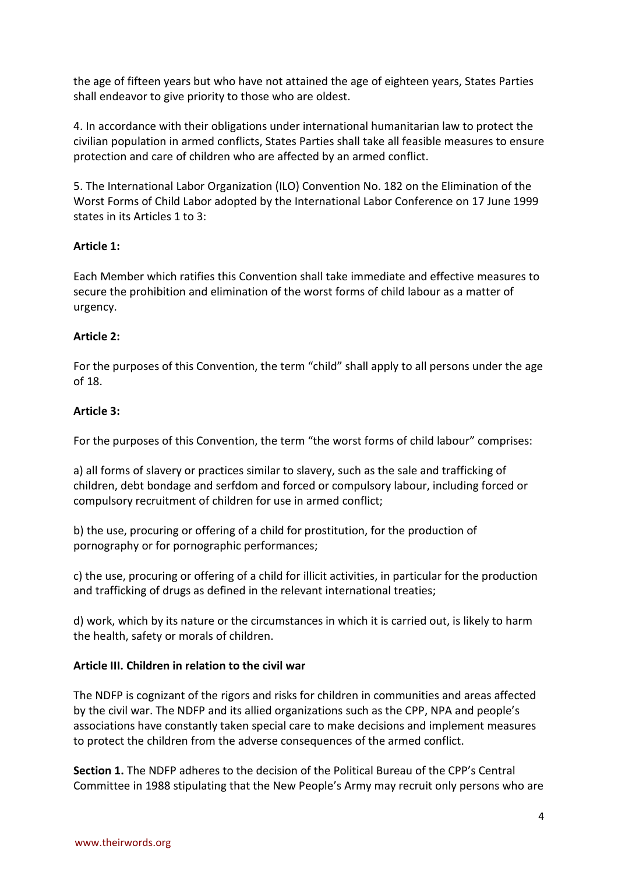the age of fifteen years but who have not attained the age of eighteen years, States Parties shall endeavor to give priority to those who are oldest.

4. In accordance with their obligations under international humanitarian law to protect the civilian population in armed conflicts, States Parties shall take all feasible measures to ensure protection and care of children who are affected by an armed conflict.

5. The International Labor Organization (ILO) Convention No. 182 on the Elimination of the Worst Forms of Child Labor adopted by the International Labor Conference on 17 June 1999 states in its Articles 1 to 3:

### **Article 1:**

Each Member which ratifies this Convention shall take immediate and effective measures to secure the prohibition and elimination of the worst forms of child labour as a matter of urgency.

### **Article 2:**

For the purposes of this Convention, the term "child" shall apply to all persons under the age of 18.

### **Article 3:**

For the purposes of this Convention, the term "the worst forms of child labour" comprises:

a) all forms of slavery or practices similar to slavery, such as the sale and trafficking of children, debt bondage and serfdom and forced or compulsory labour, including forced or compulsory recruitment of children for use in armed conflict;

b) the use, procuring or offering of a child for prostitution, for the production of pornography or for pornographic performances;

c) the use, procuring or offering of a child for illicit activities, in particular for the production and trafficking of drugs as defined in the relevant international treaties;

d) work, which by its nature or the circumstances in which it is carried out, is likely to harm the health, safety or morals of children.

## **Article III. Children in relation to the civil war**

The NDFP is cognizant of the rigors and risks for children in communities and areas affected by the civil war. The NDFP and its allied organizations such as the CPP, NPA and people's associations have constantly taken special care to make decisions and implement measures to protect the children from the adverse consequences of the armed conflict.

**Section 1.** The NDFP adheres to the decision of the Political Bureau of the CPP's Central Committee in 1988 stipulating that the New People's Army may recruit only persons who are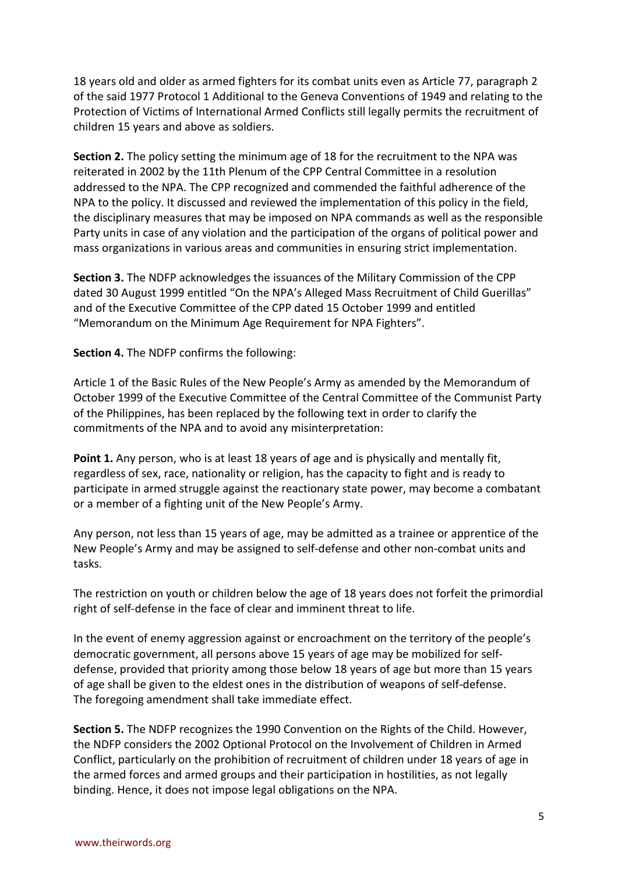18 years old and older as armed fighters for its combat units even as Article 77, paragraph 2 of the said 1977 Protocol 1 Additional to the Geneva Conventions of 1949 and relating to the Protection of Victims of International Armed Conflicts still legally permits the recruitment of children 15 years and above as soldiers.

**Section 2.** The policy setting the minimum age of 18 for the recruitment to the NPA was reiterated in 2002 by the 11th Plenum of the CPP Central Committee in a resolution addressed to the NPA. The CPP recognized and commended the faithful adherence of the NPA to the policy. It discussed and reviewed the implementation of this policy in the field, the disciplinary measures that may be imposed on NPA commands as well as the responsible Party units in case of any violation and the participation of the organs of political power and mass organizations in various areas and communities in ensuring strict implementation.

**Section 3.** The NDFP acknowledges the issuances of the Military Commission of the CPP dated 30 August 1999 entitled "On the NPA's Alleged Mass Recruitment of Child Guerillas" and of the Executive Committee of the CPP dated 15 October 1999 and entitled "Memorandum on the Minimum Age Requirement for NPA Fighters".

**Section 4.** The NDFP confirms the following:

Article 1 of the Basic Rules of the New People's Army as amended by the Memorandum of October 1999 of the Executive Committee of the Central Committee of the Communist Party of the Philippines, has been replaced by the following text in order to clarify the commitments of the NPA and to avoid any misinterpretation:

**Point 1.** Any person, who is at least 18 years of age and is physically and mentally fit, regardless of sex, race, nationality or religion, has the capacity to fight and is ready to participate in armed struggle against the reactionary state power, may become a combatant or a member of a fighting unit of the New People's Army.

Any person, not less than 15 years of age, may be admitted as a trainee or apprentice of the New People's Army and may be assigned to self-defense and other non-combat units and tasks.

The restriction on youth or children below the age of 18 years does not forfeit the primordial right of self-defense in the face of clear and imminent threat to life.

In the event of enemy aggression against or encroachment on the territory of the people's democratic government, all persons above 15 years of age may be mobilized for selfdefense, provided that priority among those below 18 years of age but more than 15 years of age shall be given to the eldest ones in the distribution of weapons of self-defense. The foregoing amendment shall take immediate effect.

**Section 5.** The NDFP recognizes the 1990 Convention on the Rights of the Child. However, the NDFP considers the 2002 Optional Protocol on the Involvement of Children in Armed Conflict, particularly on the prohibition of recruitment of children under 18 years of age in the armed forces and armed groups and their participation in hostilities, as not legally binding. Hence, it does not impose legal obligations on the NPA.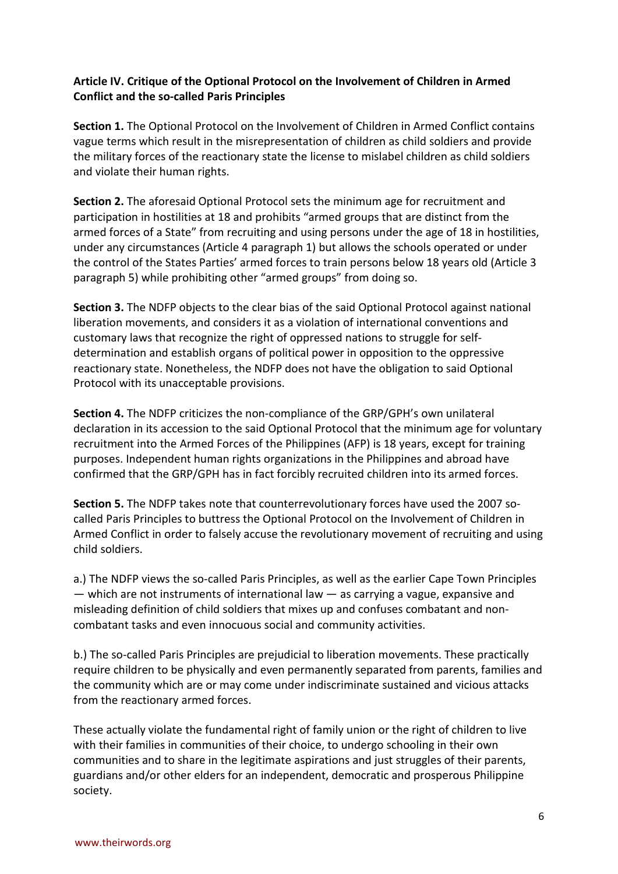## **Article IV. Critique of the Optional Protocol on the Involvement of Children in Armed Conflict and the so-called Paris Principles**

**Section 1.** The Optional Protocol on the Involvement of Children in Armed Conflict contains vague terms which result in the misrepresentation of children as child soldiers and provide the military forces of the reactionary state the license to mislabel children as child soldiers and violate their human rights.

**Section 2.** The aforesaid Optional Protocol sets the minimum age for recruitment and participation in hostilities at 18 and prohibits "armed groups that are distinct from the armed forces of a State" from recruiting and using persons under the age of 18 in hostilities, under any circumstances (Article 4 paragraph 1) but allows the schools operated or under the control of the States Parties' armed forces to train persons below 18 years old (Article 3 paragraph 5) while prohibiting other "armed groups" from doing so.

**Section 3.** The NDFP objects to the clear bias of the said Optional Protocol against national liberation movements, and considers it as a violation of international conventions and customary laws that recognize the right of oppressed nations to struggle for selfdetermination and establish organs of political power in opposition to the oppressive reactionary state. Nonetheless, the NDFP does not have the obligation to said Optional Protocol with its unacceptable provisions.

**Section 4.** The NDFP criticizes the non-compliance of the GRP/GPH's own unilateral declaration in its accession to the said Optional Protocol that the minimum age for voluntary recruitment into the Armed Forces of the Philippines (AFP) is 18 years, except for training purposes. Independent human rights organizations in the Philippines and abroad have confirmed that the GRP/GPH has in fact forcibly recruited children into its armed forces.

**Section 5.** The NDFP takes note that counterrevolutionary forces have used the 2007 socalled Paris Principles to buttress the Optional Protocol on the Involvement of Children in Armed Conflict in order to falsely accuse the revolutionary movement of recruiting and using child soldiers.

a.) The NDFP views the so-called Paris Principles, as well as the earlier Cape Town Principles — which are not instruments of international law — as carrying a vague, expansive and misleading definition of child soldiers that mixes up and confuses combatant and noncombatant tasks and even innocuous social and community activities.

b.) The so-called Paris Principles are prejudicial to liberation movements. These practically require children to be physically and even permanently separated from parents, families and the community which are or may come under indiscriminate sustained and vicious attacks from the reactionary armed forces.

These actually violate the fundamental right of family union or the right of children to live with their families in communities of their choice, to undergo schooling in their own communities and to share in the legitimate aspirations and just struggles of their parents, guardians and/or other elders for an independent, democratic and prosperous Philippine society.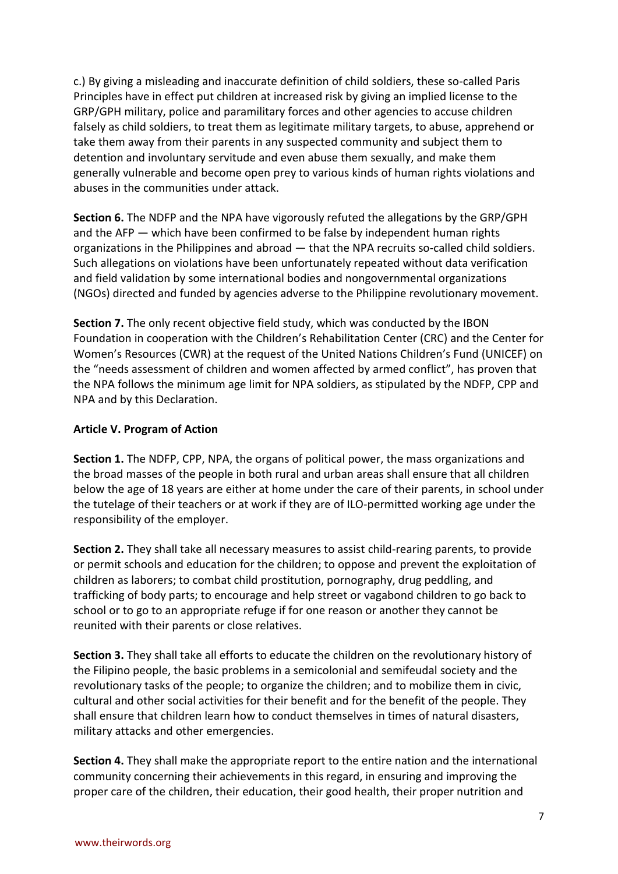c.) By giving a misleading and inaccurate definition of child soldiers, these so-called Paris Principles have in effect put children at increased risk by giving an implied license to the GRP/GPH military, police and paramilitary forces and other agencies to accuse children falsely as child soldiers, to treat them as legitimate military targets, to abuse, apprehend or take them away from their parents in any suspected community and subject them to detention and involuntary servitude and even abuse them sexually, and make them generally vulnerable and become open prey to various kinds of human rights violations and abuses in the communities under attack.

**Section 6.** The NDFP and the NPA have vigorously refuted the allegations by the GRP/GPH and the AFP — which have been confirmed to be false by independent human rights organizations in the Philippines and abroad — that the NPA recruits so-called child soldiers. Such allegations on violations have been unfortunately repeated without data verification and field validation by some international bodies and nongovernmental organizations (NGOs) directed and funded by agencies adverse to the Philippine revolutionary movement.

**Section 7.** The only recent objective field study, which was conducted by the IBON Foundation in cooperation with the Children's Rehabilitation Center (CRC) and the Center for Women's Resources (CWR) at the request of the United Nations Children's Fund (UNICEF) on the "needs assessment of children and women affected by armed conflict", has proven that the NPA follows the minimum age limit for NPA soldiers, as stipulated by the NDFP, CPP and NPA and by this Declaration.

### **Article V. Program of Action**

**Section 1.** The NDFP, CPP, NPA, the organs of political power, the mass organizations and the broad masses of the people in both rural and urban areas shall ensure that all children below the age of 18 years are either at home under the care of their parents, in school under the tutelage of their teachers or at work if they are of ILO-permitted working age under the responsibility of the employer.

**Section 2.** They shall take all necessary measures to assist child-rearing parents, to provide or permit schools and education for the children; to oppose and prevent the exploitation of children as laborers; to combat child prostitution, pornography, drug peddling, and trafficking of body parts; to encourage and help street or vagabond children to go back to school or to go to an appropriate refuge if for one reason or another they cannot be reunited with their parents or close relatives.

**Section 3.** They shall take all efforts to educate the children on the revolutionary history of the Filipino people, the basic problems in a semicolonial and semifeudal society and the revolutionary tasks of the people; to organize the children; and to mobilize them in civic, cultural and other social activities for their benefit and for the benefit of the people. They shall ensure that children learn how to conduct themselves in times of natural disasters, military attacks and other emergencies.

**Section 4.** They shall make the appropriate report to the entire nation and the international community concerning their achievements in this regard, in ensuring and improving the proper care of the children, their education, their good health, their proper nutrition and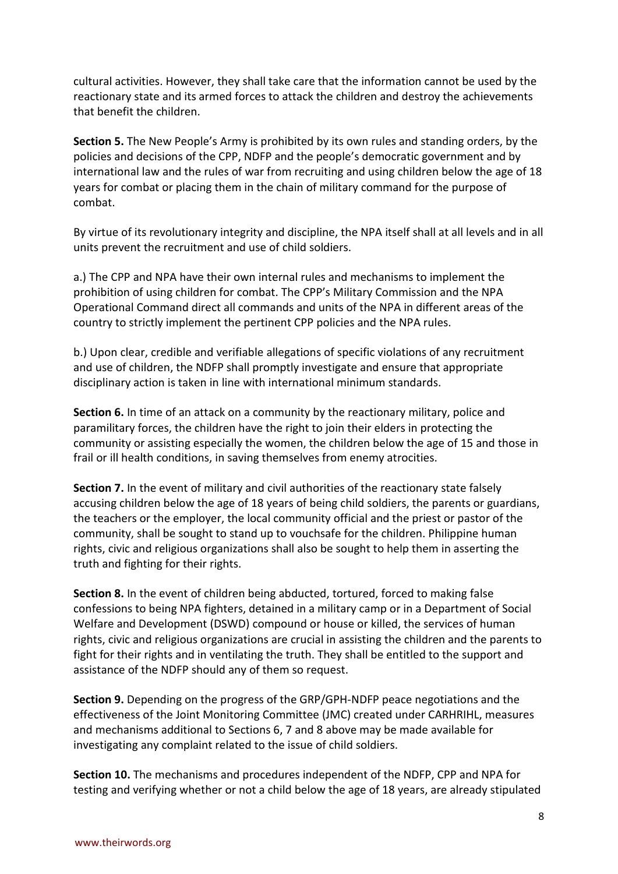cultural activities. However, they shall take care that the information cannot be used by the reactionary state and its armed forces to attack the children and destroy the achievements that benefit the children.

**Section 5.** The New People's Army is prohibited by its own rules and standing orders, by the policies and decisions of the CPP, NDFP and the people's democratic government and by international law and the rules of war from recruiting and using children below the age of 18 years for combat or placing them in the chain of military command for the purpose of combat.

By virtue of its revolutionary integrity and discipline, the NPA itself shall at all levels and in all units prevent the recruitment and use of child soldiers.

a.) The CPP and NPA have their own internal rules and mechanisms to implement the prohibition of using children for combat. The CPP's Military Commission and the NPA Operational Command direct all commands and units of the NPA in different areas of the country to strictly implement the pertinent CPP policies and the NPA rules.

b.) Upon clear, credible and verifiable allegations of specific violations of any recruitment and use of children, the NDFP shall promptly investigate and ensure that appropriate disciplinary action is taken in line with international minimum standards.

**Section 6.** In time of an attack on a community by the reactionary military, police and paramilitary forces, the children have the right to join their elders in protecting the community or assisting especially the women, the children below the age of 15 and those in frail or ill health conditions, in saving themselves from enemy atrocities.

**Section 7.** In the event of military and civil authorities of the reactionary state falsely accusing children below the age of 18 years of being child soldiers, the parents or guardians, the teachers or the employer, the local community official and the priest or pastor of the community, shall be sought to stand up to vouchsafe for the children. Philippine human rights, civic and religious organizations shall also be sought to help them in asserting the truth and fighting for their rights.

**Section 8.** In the event of children being abducted, tortured, forced to making false confessions to being NPA fighters, detained in a military camp or in a Department of Social Welfare and Development (DSWD) compound or house or killed, the services of human rights, civic and religious organizations are crucial in assisting the children and the parents to fight for their rights and in ventilating the truth. They shall be entitled to the support and assistance of the NDFP should any of them so request.

**Section 9.** Depending on the progress of the GRP/GPH-NDFP peace negotiations and the effectiveness of the Joint Monitoring Committee (JMC) created under CARHRIHL, measures and mechanisms additional to Sections 6, 7 and 8 above may be made available for investigating any complaint related to the issue of child soldiers.

**Section 10.** The mechanisms and procedures independent of the NDFP, CPP and NPA for testing and verifying whether or not a child below the age of 18 years, are already stipulated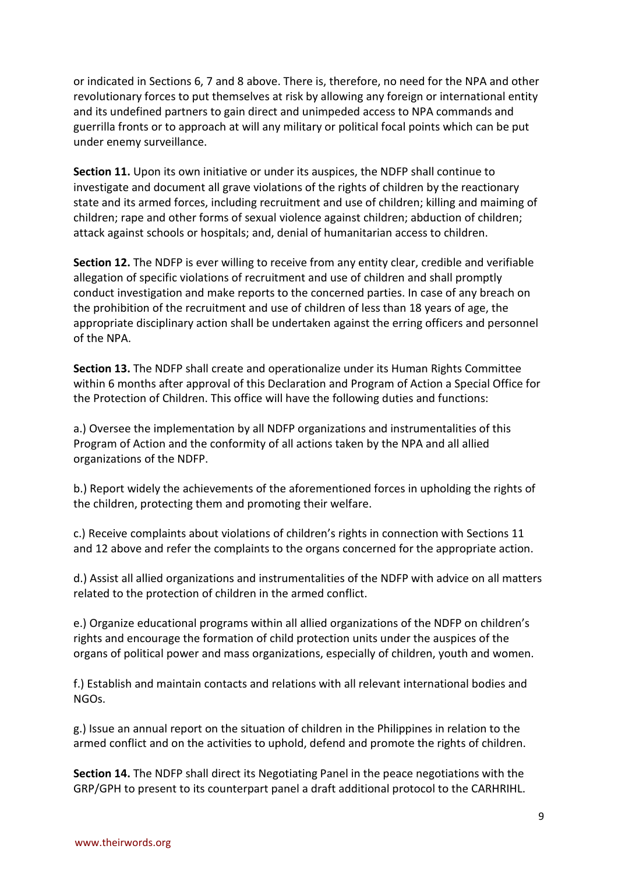or indicated in Sections 6, 7 and 8 above. There is, therefore, no need for the NPA and other revolutionary forces to put themselves at risk by allowing any foreign or international entity and its undefined partners to gain direct and unimpeded access to NPA commands and guerrilla fronts or to approach at will any military or political focal points which can be put under enemy surveillance.

**Section 11.** Upon its own initiative or under its auspices, the NDFP shall continue to investigate and document all grave violations of the rights of children by the reactionary state and its armed forces, including recruitment and use of children; killing and maiming of children; rape and other forms of sexual violence against children; abduction of children; attack against schools or hospitals; and, denial of humanitarian access to children.

**Section 12.** The NDFP is ever willing to receive from any entity clear, credible and verifiable allegation of specific violations of recruitment and use of children and shall promptly conduct investigation and make reports to the concerned parties. In case of any breach on the prohibition of the recruitment and use of children of less than 18 years of age, the appropriate disciplinary action shall be undertaken against the erring officers and personnel of the NPA.

**Section 13.** The NDFP shall create and operationalize under its Human Rights Committee within 6 months after approval of this Declaration and Program of Action a Special Office for the Protection of Children. This office will have the following duties and functions:

a.) Oversee the implementation by all NDFP organizations and instrumentalities of this Program of Action and the conformity of all actions taken by the NPA and all allied organizations of the NDFP.

b.) Report widely the achievements of the aforementioned forces in upholding the rights of the children, protecting them and promoting their welfare.

c.) Receive complaints about violations of children's rights in connection with Sections 11 and 12 above and refer the complaints to the organs concerned for the appropriate action.

d.) Assist all allied organizations and instrumentalities of the NDFP with advice on all matters related to the protection of children in the armed conflict.

e.) Organize educational programs within all allied organizations of the NDFP on children's rights and encourage the formation of child protection units under the auspices of the organs of political power and mass organizations, especially of children, youth and women.

f.) Establish and maintain contacts and relations with all relevant international bodies and NGOs.

g.) Issue an annual report on the situation of children in the Philippines in relation to the armed conflict and on the activities to uphold, defend and promote the rights of children.

**Section 14.** The NDFP shall direct its Negotiating Panel in the peace negotiations with the GRP/GPH to present to its counterpart panel a draft additional protocol to the CARHRIHL.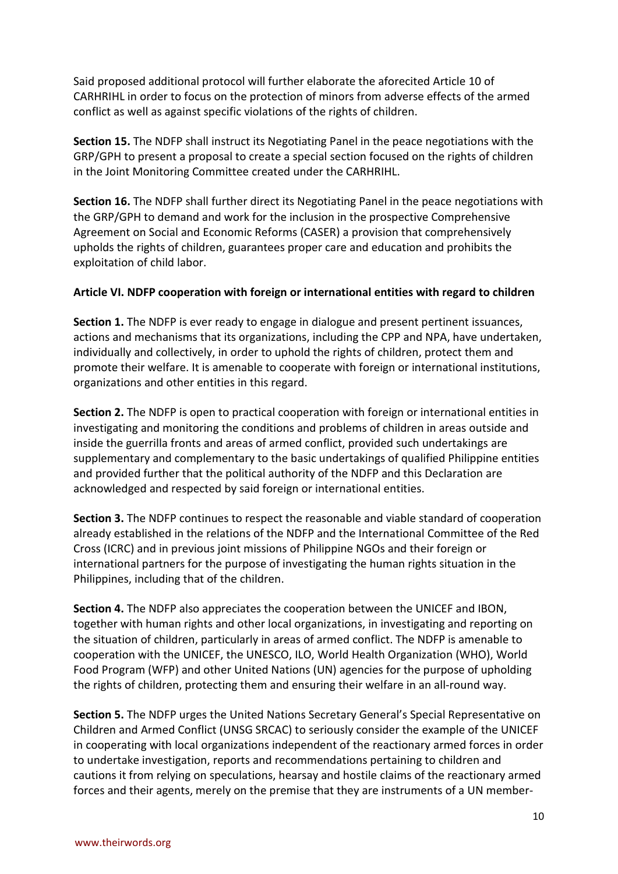Said proposed additional protocol will further elaborate the aforecited Article 10 of CARHRIHL in order to focus on the protection of minors from adverse effects of the armed conflict as well as against specific violations of the rights of children.

**Section 15.** The NDFP shall instruct its Negotiating Panel in the peace negotiations with the GRP/GPH to present a proposal to create a special section focused on the rights of children in the Joint Monitoring Committee created under the CARHRIHL.

**Section 16.** The NDFP shall further direct its Negotiating Panel in the peace negotiations with the GRP/GPH to demand and work for the inclusion in the prospective Comprehensive Agreement on Social and Economic Reforms (CASER) a provision that comprehensively upholds the rights of children, guarantees proper care and education and prohibits the exploitation of child labor.

### **Article VI. NDFP cooperation with foreign or international entities with regard to children**

**Section 1.** The NDFP is ever ready to engage in dialogue and present pertinent issuances, actions and mechanisms that its organizations, including the CPP and NPA, have undertaken, individually and collectively, in order to uphold the rights of children, protect them and promote their welfare. It is amenable to cooperate with foreign or international institutions, organizations and other entities in this regard.

**Section 2.** The NDFP is open to practical cooperation with foreign or international entities in investigating and monitoring the conditions and problems of children in areas outside and inside the guerrilla fronts and areas of armed conflict, provided such undertakings are supplementary and complementary to the basic undertakings of qualified Philippine entities and provided further that the political authority of the NDFP and this Declaration are acknowledged and respected by said foreign or international entities.

**Section 3.** The NDFP continues to respect the reasonable and viable standard of cooperation already established in the relations of the NDFP and the International Committee of the Red Cross (ICRC) and in previous joint missions of Philippine NGOs and their foreign or international partners for the purpose of investigating the human rights situation in the Philippines, including that of the children.

**Section 4.** The NDFP also appreciates the cooperation between the UNICEF and IBON, together with human rights and other local organizations, in investigating and reporting on the situation of children, particularly in areas of armed conflict. The NDFP is amenable to cooperation with the UNICEF, the UNESCO, ILO, World Health Organization (WHO), World Food Program (WFP) and other United Nations (UN) agencies for the purpose of upholding the rights of children, protecting them and ensuring their welfare in an all-round way.

**Section 5.** The NDFP urges the United Nations Secretary General's Special Representative on Children and Armed Conflict (UNSG SRCAC) to seriously consider the example of the UNICEF in cooperating with local organizations independent of the reactionary armed forces in order to undertake investigation, reports and recommendations pertaining to children and cautions it from relying on speculations, hearsay and hostile claims of the reactionary armed forces and their agents, merely on the premise that they are instruments of a UN member